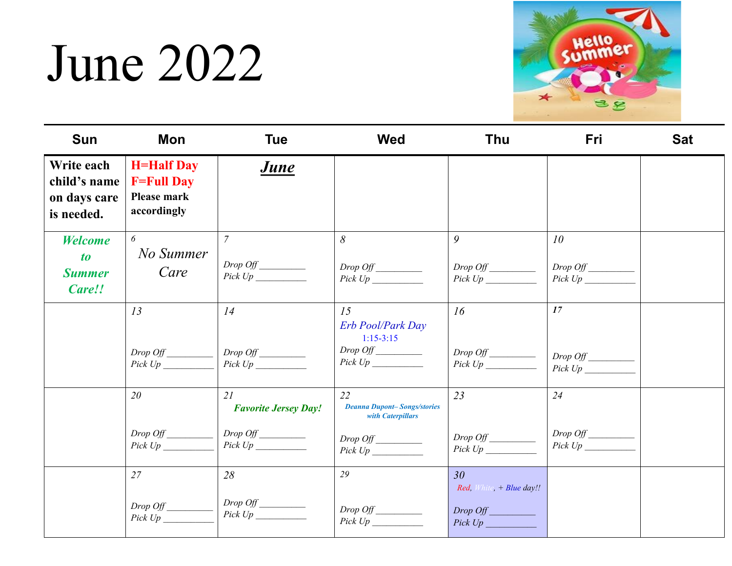## June 2022



| <b>Sun</b>                                                     | Mon                                                                  | <b>Tue</b>                        | <b>Wed</b>                                                    | <b>Thu</b>                                  | Fri                                    | <b>Sat</b> |
|----------------------------------------------------------------|----------------------------------------------------------------------|-----------------------------------|---------------------------------------------------------------|---------------------------------------------|----------------------------------------|------------|
| Write each<br>child's name<br>on days care<br>is needed.       | <b>H=Half Day</b><br><b>F=Full Day</b><br>Please mark<br>accordingly | <u>June</u>                       |                                                               |                                             |                                        |            |
| <b>Welcome</b><br>$\boldsymbol{to}$<br><b>Summer</b><br>Care!! | 6<br>No Summer<br>Care                                               | $\overline{7}$<br>$Pick Up \_\_$  | 8<br>$Pick Up \_\_$                                           | 9<br>Drop Off                               | 10 <sup>°</sup><br>Drop Off<br>Pick Up |            |
|                                                                | 13                                                                   | 14                                | 15<br>Erb Pool/Park Day<br>$1:15-3:15$                        | 16                                          | 17                                     |            |
|                                                                | $Pick Up \_\_$                                                       | Drop Off<br>$Pick Up \_\_$        |                                                               | $Pick Up \_\_$                              | $Drop$ $Off$<br>$Pick Up \_\_$         |            |
|                                                                | 20                                                                   | 21<br><b>Favorite Jersey Day!</b> | 22<br><b>Deanna Dupont-Songs/stories</b><br>with Caterpillars | 23                                          | 24                                     |            |
|                                                                | Drop Off<br>Pick Up                                                  |                                   |                                                               |                                             | Pick Up                                |            |
|                                                                | 27                                                                   | 28                                | 29                                                            | 30 <sup>°</sup><br>Red, White, + Blue day!! |                                        |            |
|                                                                | Drop Off<br>Pick Up                                                  | $Drop\;Off$                       | $Pick Up \_\_$                                                | Drop Off<br>Pick Up                         |                                        |            |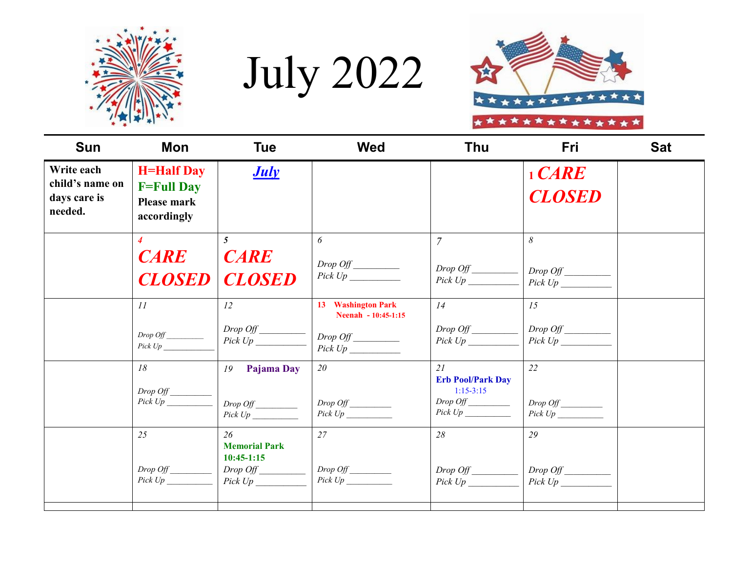

July 2022



| <b>Sun</b>                                               | Mon                                                                  | <b>Tue</b>                                                                          | <b>Wed</b>                                                  | Thu                                                                                 | Fri                             | <b>Sat</b> |
|----------------------------------------------------------|----------------------------------------------------------------------|-------------------------------------------------------------------------------------|-------------------------------------------------------------|-------------------------------------------------------------------------------------|---------------------------------|------------|
| Write each<br>child's name on<br>days care is<br>needed. | <b>H=Half Day</b><br><b>F=Full Day</b><br>Please mark<br>accordingly | <b>July</b>                                                                         |                                                             |                                                                                     | $1$ $CARE$<br><b>CLOSED</b>     |            |
|                                                          | $\overline{4}$<br><b>CARE</b><br><b>CLOSED</b>                       | $\mathbf{5}$<br><b>CARE</b><br><b>CLOSED</b>                                        | 6                                                           | $\overline{7}$<br>$Pick Up \_\_$                                                    | 8<br>Drop Off<br>$Pick Up \_\_$ |            |
|                                                          | II<br>Pick Up                                                        | 12<br>$\begin{array}{c}\nDrop\ Of \n\underline{\hspace{1.5cm}}\nPic\nVp\end{array}$ | 13 Washington Park<br>Neenah - 10:45-1:15<br>$Pick Up \_\_$ | 14<br>Drop Off<br>Pick Up                                                           | 15<br>Drop Off<br>Pick Up       |            |
|                                                          | 18<br>$Drop$ $Off$<br>Pick Up                                        | Pajama Day<br>19                                                                    | 20<br>Drop Off                                              | 21<br><b>Erb Pool/Park Day</b><br>$1:15-3:15$<br>$Drop\hspace{0.1cm}Off$<br>Pick Up | 22<br>Drop Off<br>Pick Up       |            |
|                                                          | 25<br>Drop Off<br>Pick Up                                            | 26<br><b>Memorial Park</b><br>$10:45-1:15$<br>Drop Off<br>Pick Up                   | 27                                                          | 28<br>$Pick Up \_\_$                                                                | 29<br>$Pick Up \_\_$            |            |